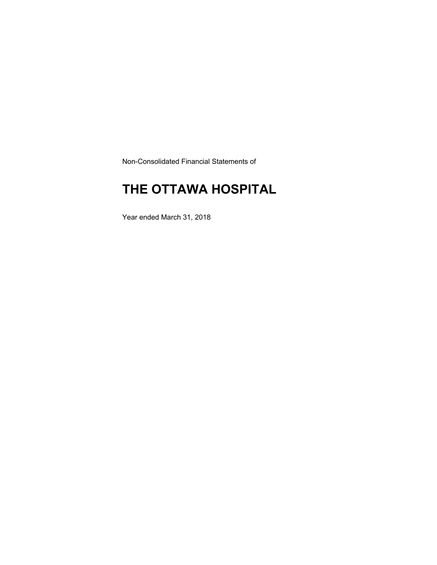Non-Consolidated Financial Statements of

### **THE OTTAWA HOSPITAL**

Year ended March 31, 2018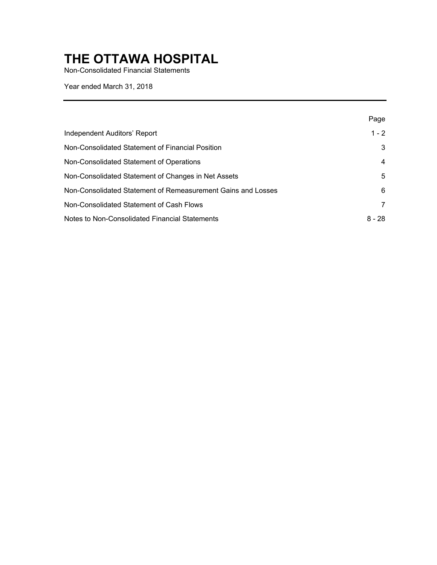Non-Consolidated Financial Statements

Year ended March 31, 2018

|                                                              | Page     |
|--------------------------------------------------------------|----------|
| Independent Auditors' Report                                 | $1 - 2$  |
| Non-Consolidated Statement of Financial Position             | 3        |
| Non-Consolidated Statement of Operations                     | 4        |
| Non-Consolidated Statement of Changes in Net Assets          | 5        |
| Non-Consolidated Statement of Remeasurement Gains and Losses | 6        |
| Non-Consolidated Statement of Cash Flows                     | 7        |
| Notes to Non-Consolidated Financial Statements               | $8 - 28$ |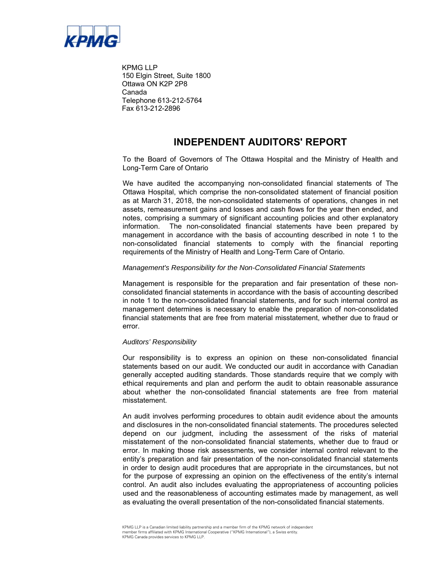

KPMG LLP 150 Elgin Street, Suite 1800 Ottawa ON K2P 2P8 Canada Telephone 613-212-5764 Fax 613-212-2896

### **INDEPENDENT AUDITORS' REPORT**

To the Board of Governors of The Ottawa Hospital and the Ministry of Health and Long-Term Care of Ontario

 notes, comprising a summary of significant accounting policies and other explanatory We have audited the accompanying non-consolidated financial statements of The Ottawa Hospital, which comprise the non-consolidated statement of financial position as at March 31, 2018, the non-consolidated statements of operations, changes in net assets, remeasurement gains and losses and cash flows for the year then ended, and information. The non-consolidated financial statements have been prepared by management in accordance with the basis of accounting described in note 1 to the non-consolidated financial statements to comply with the financial reporting requirements of the Ministry of Health and Long-Term Care of Ontario.

#### *Management's Responsibility for the Non-Consolidated Financial Statements*

Management is responsible for the preparation and fair presentation of these nonconsolidated financial statements in accordance with the basis of accounting described in note 1 to the non-consolidated financial statements, and for such internal control as management determines is necessary to enable the preparation of non-consolidated financial statements that are free from material misstatement, whether due to fraud or error.

#### *Auditors' Responsibility*

 ethical requirements and plan and perform the audit to obtain reasonable assurance about whether the non-consolidated financial statements are free from material Our responsibility is to express an opinion on these non-consolidated financial statements based on our audit. We conducted our audit in accordance with Canadian generally accepted auditing standards. Those standards require that we comply with misstatement.

 An audit involves performing procedures to obtain audit evidence about the amounts error. In making those risk assessments, we consider internal control relevant to the in order to design audit procedures that are appropriate in the circumstances, but not used and the reasonableness of accounting estimates made by management, as well and disclosures in the non-consolidated financial statements. The procedures selected depend on our judgment, including the assessment of the risks of material misstatement of the non-consolidated financial statements, whether due to fraud or entity's preparation and fair presentation of the non-consolidated financial statements for the purpose of expressing an opinion on the effectiveness of the entity's internal control. An audit also includes evaluating the appropriateness of accounting policies as evaluating the overall presentation of the non-consolidated financial statements.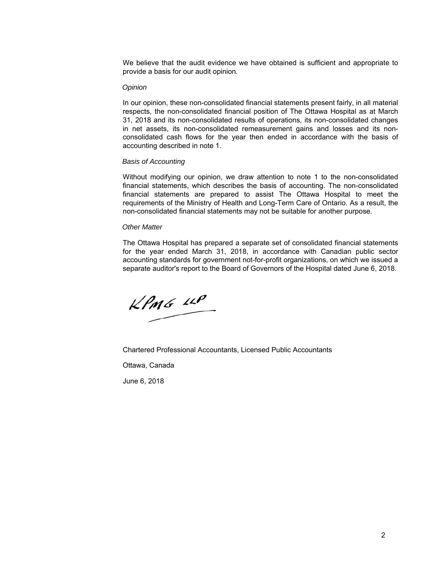We believe that the audit evidence we have obtained is sufficient and appropriate to provide a basis for our audit opinion*.* 

#### *Opinion*

 respects, the non-consolidated financial position of The Ottawa Hospital as at March in net assets, its non-consolidated remeasurement gains and losses and its non- consolidated cash flows for the year then ended in accordance with the basis of In our opinion, these non-consolidated financial statements present fairly, in all material 31, 2018 and its non-consolidated results of operations, its non-consolidated changes accounting described in note 1.

#### *Basis of Accounting*

 Without modifying our opinion, we draw attention to note 1 to the non-consolidated financial statements are prepared to assist The Ottawa Hospital to meet the financial statements, which describes the basis of accounting. The non-consolidated requirements of the Ministry of Health and Long-Term Care of Ontario. As a result, the non-consolidated financial statements may not be suitable for another purpose.

#### *Other Matter*

The Ottawa Hospital has prepared a separate set of consolidated financial statements for the year ended March 31, 2018, in accordance with Canadian public sector accounting standards for government not-for-profit organizations, on which we issued a separate auditor's report to the Board of Governors of the Hospital dated June 6, 2018.

 $KPMG$  11P

Chartered Professional Accountants, Licensed Public Accountants

Ottawa, Canada

June 6, 2018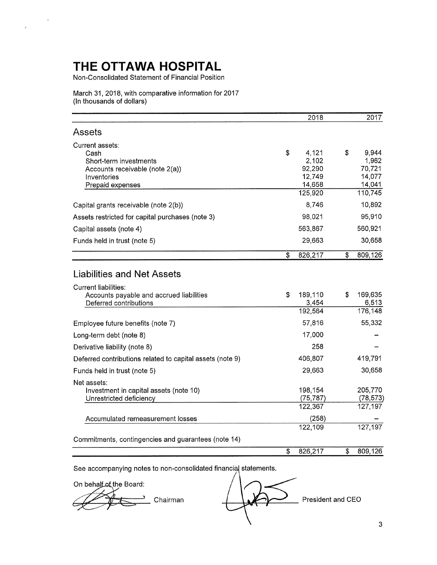$\bar{\mathbf{v}}$ 

 $\bar{\theta}$ 

Non-Consolidated Statement of Financial Position

March 31, 2018, with comparative information for 2017 (In thousands of dollars)

|                                                                         | 2018              | 2017              |
|-------------------------------------------------------------------------|-------------------|-------------------|
| Assets                                                                  |                   |                   |
| Current assets:<br>Cash                                                 | \$<br>4,121       | \$<br>9,944       |
| Short-term investments                                                  | 2,102             | 1,962             |
| Accounts receivable (note 2(a))                                         | 92,290            | 70,721            |
| Inventories                                                             | 12,749            | 14,077            |
| Prepaid expenses                                                        | 14,658<br>125,920 | 14,041<br>110,745 |
|                                                                         |                   |                   |
| Capital grants receivable (note 2(b))                                   | 8,746             | 10,892            |
| Assets restricted for capital purchases (note 3)                        | 98,021            | 95,910            |
| Capital assets (note 4)                                                 | 563,867           | 560,921           |
| Funds held in trust (note 5)                                            | 29,663            | 30,658            |
|                                                                         | \$<br>826,217     | \$<br>809,126     |
| <b>Liabilities and Net Assets</b>                                       |                   |                   |
| <b>Current liabilities:</b><br>Accounts payable and accrued liabilities | \$<br>189,110     | \$<br>169,635     |
| Deferred contributions                                                  | 3,454<br>192,564  | 6,513<br>176,148  |
|                                                                         |                   |                   |
| Employee future benefits (note 7)                                       | 57,816            | 55,332            |
| Long-term debt (note 8)                                                 | 17,000            |                   |
| Derivative liability (note 8)                                           | 258               |                   |
| Deferred contributions related to capital assets (note 9)               | 406,807           | 419,791           |
| Funds held in trust (note 5)                                            | 29,663            | 30,658            |
| Net assets:<br>Investment in capital assets (note 10)                   | 198,154           | 205,770           |
| Unrestricted deficiency                                                 | (75, 787)         | (78, 573)         |
|                                                                         | 122,367           | 127,197           |
| Accumulated remeasurement losses                                        | (258)             |                   |
|                                                                         | 122,109           | 127,197           |
| Commitments, contingencies and guarantees (note 14)                     |                   |                   |
|                                                                         | \$<br>826,217     | \$<br>809,126     |

See accompanying notes to non-consolidated financial statements.

On behalf of the Board:

Chairman

President and CEO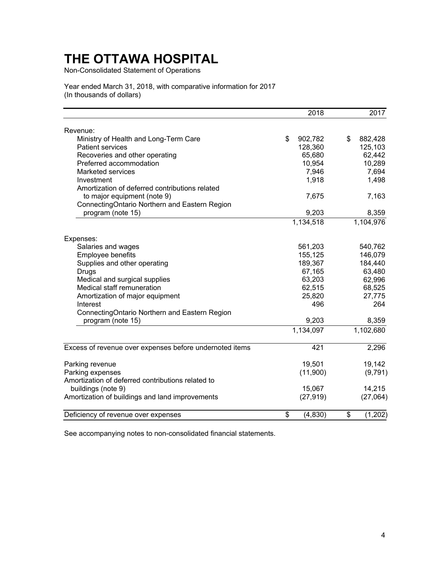Non-Consolidated Statement of Operations

Year ended March 31, 2018, with comparative information for 2017 (In thousands of dollars)

| Revenue:<br>\$<br>Ministry of Health and Long-Term Care<br>902,782<br>\$<br>882,428<br>125,103<br><b>Patient services</b><br>128,360<br>62,442<br>Recoveries and other operating<br>65,680<br>Preferred accommodation<br>10,954<br>10,289<br>7,946<br>7,694<br>Marketed services<br>1,918<br>1,498<br>Investment<br>Amortization of deferred contributions related<br>to major equipment (note 9)<br>7,675<br>7,163<br>ConnectingOntario Northern and Eastern Region<br>program (note 15)<br>9,203<br>8,359<br>1,134,518<br>1,104,976<br>Expenses:<br>Salaries and wages<br>561,203<br>540,762<br>Employee benefits<br>155,125<br>146,079<br>Supplies and other operating<br>189,367<br>184,440<br>63,480<br>67,165<br>Drugs<br>Medical and surgical supplies<br>63,203<br>62,996<br>Medical staff remuneration<br>62,515<br>68,525<br>25,820<br>27,775<br>Amortization of major equipment<br>496<br>264<br>Interest<br>ConnectingOntario Northern and Eastern Region<br>program (note 15)<br>9,203<br>8,359<br>1,134,097<br>1,102,680<br>Excess of revenue over expenses before undernoted items<br>421<br>2,296<br>19,142<br>Parking revenue<br>19,501<br>Parking expenses<br>(11,900)<br>(9,791)<br>Amortization of deferred contributions related to<br>14,215<br>buildings (note 9)<br>15,067<br>Amortization of buildings and land improvements<br>(27, 919)<br>(27,064)<br>Deficiency of revenue over expenses<br>\$<br>(4, 830)<br>\$<br>(1, 202) |  | 2018 | 2017 |
|-----------------------------------------------------------------------------------------------------------------------------------------------------------------------------------------------------------------------------------------------------------------------------------------------------------------------------------------------------------------------------------------------------------------------------------------------------------------------------------------------------------------------------------------------------------------------------------------------------------------------------------------------------------------------------------------------------------------------------------------------------------------------------------------------------------------------------------------------------------------------------------------------------------------------------------------------------------------------------------------------------------------------------------------------------------------------------------------------------------------------------------------------------------------------------------------------------------------------------------------------------------------------------------------------------------------------------------------------------------------------------------------------------------------------------------------------------------|--|------|------|
|                                                                                                                                                                                                                                                                                                                                                                                                                                                                                                                                                                                                                                                                                                                                                                                                                                                                                                                                                                                                                                                                                                                                                                                                                                                                                                                                                                                                                                                           |  |      |      |
|                                                                                                                                                                                                                                                                                                                                                                                                                                                                                                                                                                                                                                                                                                                                                                                                                                                                                                                                                                                                                                                                                                                                                                                                                                                                                                                                                                                                                                                           |  |      |      |
|                                                                                                                                                                                                                                                                                                                                                                                                                                                                                                                                                                                                                                                                                                                                                                                                                                                                                                                                                                                                                                                                                                                                                                                                                                                                                                                                                                                                                                                           |  |      |      |
|                                                                                                                                                                                                                                                                                                                                                                                                                                                                                                                                                                                                                                                                                                                                                                                                                                                                                                                                                                                                                                                                                                                                                                                                                                                                                                                                                                                                                                                           |  |      |      |
|                                                                                                                                                                                                                                                                                                                                                                                                                                                                                                                                                                                                                                                                                                                                                                                                                                                                                                                                                                                                                                                                                                                                                                                                                                                                                                                                                                                                                                                           |  |      |      |
|                                                                                                                                                                                                                                                                                                                                                                                                                                                                                                                                                                                                                                                                                                                                                                                                                                                                                                                                                                                                                                                                                                                                                                                                                                                                                                                                                                                                                                                           |  |      |      |
|                                                                                                                                                                                                                                                                                                                                                                                                                                                                                                                                                                                                                                                                                                                                                                                                                                                                                                                                                                                                                                                                                                                                                                                                                                                                                                                                                                                                                                                           |  |      |      |
|                                                                                                                                                                                                                                                                                                                                                                                                                                                                                                                                                                                                                                                                                                                                                                                                                                                                                                                                                                                                                                                                                                                                                                                                                                                                                                                                                                                                                                                           |  |      |      |
|                                                                                                                                                                                                                                                                                                                                                                                                                                                                                                                                                                                                                                                                                                                                                                                                                                                                                                                                                                                                                                                                                                                                                                                                                                                                                                                                                                                                                                                           |  |      |      |
|                                                                                                                                                                                                                                                                                                                                                                                                                                                                                                                                                                                                                                                                                                                                                                                                                                                                                                                                                                                                                                                                                                                                                                                                                                                                                                                                                                                                                                                           |  |      |      |
|                                                                                                                                                                                                                                                                                                                                                                                                                                                                                                                                                                                                                                                                                                                                                                                                                                                                                                                                                                                                                                                                                                                                                                                                                                                                                                                                                                                                                                                           |  |      |      |
|                                                                                                                                                                                                                                                                                                                                                                                                                                                                                                                                                                                                                                                                                                                                                                                                                                                                                                                                                                                                                                                                                                                                                                                                                                                                                                                                                                                                                                                           |  |      |      |
|                                                                                                                                                                                                                                                                                                                                                                                                                                                                                                                                                                                                                                                                                                                                                                                                                                                                                                                                                                                                                                                                                                                                                                                                                                                                                                                                                                                                                                                           |  |      |      |
|                                                                                                                                                                                                                                                                                                                                                                                                                                                                                                                                                                                                                                                                                                                                                                                                                                                                                                                                                                                                                                                                                                                                                                                                                                                                                                                                                                                                                                                           |  |      |      |
|                                                                                                                                                                                                                                                                                                                                                                                                                                                                                                                                                                                                                                                                                                                                                                                                                                                                                                                                                                                                                                                                                                                                                                                                                                                                                                                                                                                                                                                           |  |      |      |
|                                                                                                                                                                                                                                                                                                                                                                                                                                                                                                                                                                                                                                                                                                                                                                                                                                                                                                                                                                                                                                                                                                                                                                                                                                                                                                                                                                                                                                                           |  |      |      |
|                                                                                                                                                                                                                                                                                                                                                                                                                                                                                                                                                                                                                                                                                                                                                                                                                                                                                                                                                                                                                                                                                                                                                                                                                                                                                                                                                                                                                                                           |  |      |      |
|                                                                                                                                                                                                                                                                                                                                                                                                                                                                                                                                                                                                                                                                                                                                                                                                                                                                                                                                                                                                                                                                                                                                                                                                                                                                                                                                                                                                                                                           |  |      |      |
|                                                                                                                                                                                                                                                                                                                                                                                                                                                                                                                                                                                                                                                                                                                                                                                                                                                                                                                                                                                                                                                                                                                                                                                                                                                                                                                                                                                                                                                           |  |      |      |
|                                                                                                                                                                                                                                                                                                                                                                                                                                                                                                                                                                                                                                                                                                                                                                                                                                                                                                                                                                                                                                                                                                                                                                                                                                                                                                                                                                                                                                                           |  |      |      |
|                                                                                                                                                                                                                                                                                                                                                                                                                                                                                                                                                                                                                                                                                                                                                                                                                                                                                                                                                                                                                                                                                                                                                                                                                                                                                                                                                                                                                                                           |  |      |      |
|                                                                                                                                                                                                                                                                                                                                                                                                                                                                                                                                                                                                                                                                                                                                                                                                                                                                                                                                                                                                                                                                                                                                                                                                                                                                                                                                                                                                                                                           |  |      |      |
|                                                                                                                                                                                                                                                                                                                                                                                                                                                                                                                                                                                                                                                                                                                                                                                                                                                                                                                                                                                                                                                                                                                                                                                                                                                                                                                                                                                                                                                           |  |      |      |
|                                                                                                                                                                                                                                                                                                                                                                                                                                                                                                                                                                                                                                                                                                                                                                                                                                                                                                                                                                                                                                                                                                                                                                                                                                                                                                                                                                                                                                                           |  |      |      |
|                                                                                                                                                                                                                                                                                                                                                                                                                                                                                                                                                                                                                                                                                                                                                                                                                                                                                                                                                                                                                                                                                                                                                                                                                                                                                                                                                                                                                                                           |  |      |      |
|                                                                                                                                                                                                                                                                                                                                                                                                                                                                                                                                                                                                                                                                                                                                                                                                                                                                                                                                                                                                                                                                                                                                                                                                                                                                                                                                                                                                                                                           |  |      |      |
|                                                                                                                                                                                                                                                                                                                                                                                                                                                                                                                                                                                                                                                                                                                                                                                                                                                                                                                                                                                                                                                                                                                                                                                                                                                                                                                                                                                                                                                           |  |      |      |
|                                                                                                                                                                                                                                                                                                                                                                                                                                                                                                                                                                                                                                                                                                                                                                                                                                                                                                                                                                                                                                                                                                                                                                                                                                                                                                                                                                                                                                                           |  |      |      |
|                                                                                                                                                                                                                                                                                                                                                                                                                                                                                                                                                                                                                                                                                                                                                                                                                                                                                                                                                                                                                                                                                                                                                                                                                                                                                                                                                                                                                                                           |  |      |      |
|                                                                                                                                                                                                                                                                                                                                                                                                                                                                                                                                                                                                                                                                                                                                                                                                                                                                                                                                                                                                                                                                                                                                                                                                                                                                                                                                                                                                                                                           |  |      |      |
|                                                                                                                                                                                                                                                                                                                                                                                                                                                                                                                                                                                                                                                                                                                                                                                                                                                                                                                                                                                                                                                                                                                                                                                                                                                                                                                                                                                                                                                           |  |      |      |
|                                                                                                                                                                                                                                                                                                                                                                                                                                                                                                                                                                                                                                                                                                                                                                                                                                                                                                                                                                                                                                                                                                                                                                                                                                                                                                                                                                                                                                                           |  |      |      |
|                                                                                                                                                                                                                                                                                                                                                                                                                                                                                                                                                                                                                                                                                                                                                                                                                                                                                                                                                                                                                                                                                                                                                                                                                                                                                                                                                                                                                                                           |  |      |      |
|                                                                                                                                                                                                                                                                                                                                                                                                                                                                                                                                                                                                                                                                                                                                                                                                                                                                                                                                                                                                                                                                                                                                                                                                                                                                                                                                                                                                                                                           |  |      |      |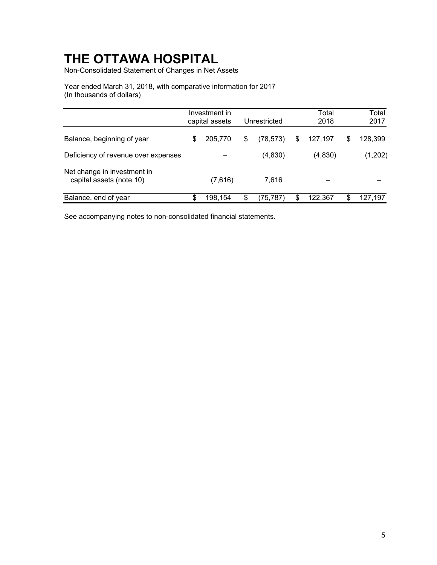Non-Consolidated Statement of Changes in Net Assets

Year ended March 31, 2018, with comparative information for 2017 (In thousands of dollars)

|                                                         | Investment in<br>capital assets | Unrestricted    | Total<br>2018 | Total<br>2017 |
|---------------------------------------------------------|---------------------------------|-----------------|---------------|---------------|
| Balance, beginning of year                              | \$<br>205,770                   | \$<br>(78, 573) | \$<br>127,197 | \$<br>128,399 |
| Deficiency of revenue over expenses                     |                                 | (4,830)         | (4,830)       | (1,202)       |
| Net change in investment in<br>capital assets (note 10) | (7,616)                         | 7,616           |               |               |
| Balance, end of year                                    | \$<br>198.154                   | \$<br>(75, 787) | \$<br>122.367 | \$<br>127,197 |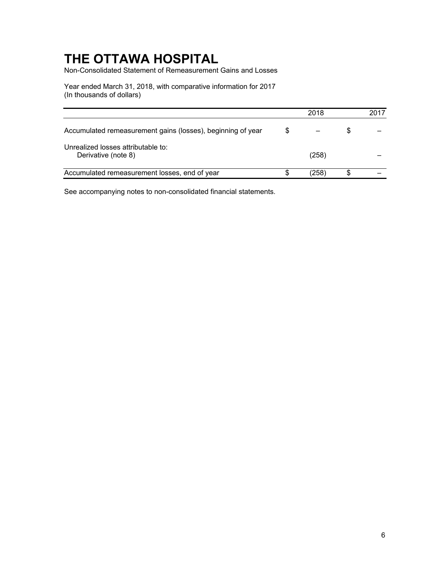Non-Consolidated Statement of Remeasurement Gains and Losses

Year ended March 31, 2018, with comparative information for 2017 (In thousands of dollars)

|                                                             |   | 2018  |   | 2017 |
|-------------------------------------------------------------|---|-------|---|------|
| Accumulated remeasurement gains (losses), beginning of year | S |       | S |      |
| Unrealized losses attributable to:<br>Derivative (note 8)   |   | (258) |   |      |
| Accumulated remeasurement losses, end of year               |   | (258) |   |      |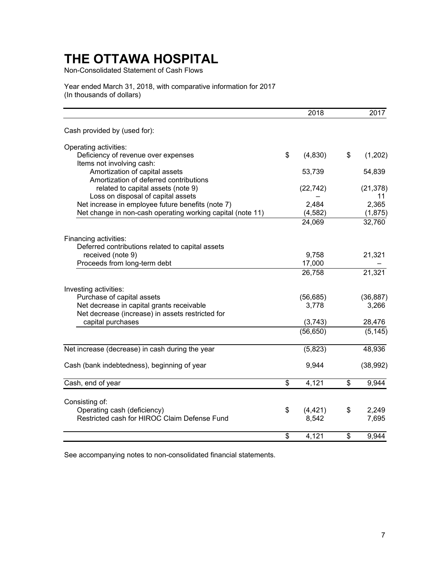Non-Consolidated Statement of Cash Flows

Year ended March 31, 2018, with comparative information for 2017 (In thousands of dollars)

|                                                            | 2018           | 2017          |
|------------------------------------------------------------|----------------|---------------|
| Cash provided by (used for):                               |                |               |
| Operating activities:                                      |                |               |
| Deficiency of revenue over expenses                        | \$<br>(4,830)  | \$<br>(1,202) |
| Items not involving cash:                                  |                |               |
| Amortization of capital assets                             | 53,739         | 54,839        |
| Amortization of deferred contributions                     |                |               |
| related to capital assets (note 9)                         | (22, 742)      | (21, 378)     |
| Loss on disposal of capital assets                         |                | 11            |
| Net increase in employee future benefits (note 7)          | 2,484          | 2,365         |
| Net change in non-cash operating working capital (note 11) | (4, 582)       | (1,875)       |
|                                                            | 24,069         | 32,760        |
| Financing activities:                                      |                |               |
| Deferred contributions related to capital assets           |                |               |
| received (note 9)                                          | 9,758          | 21,321        |
| Proceeds from long-term debt                               | 17,000         |               |
|                                                            | 26,758         | 21,321        |
| Investing activities:                                      |                |               |
| Purchase of capital assets                                 | (56, 685)      | (36, 887)     |
| Net decrease in capital grants receivable                  | 3,778          | 3,266         |
| Net decrease (increase) in assets restricted for           |                |               |
| capital purchases                                          | (3, 743)       | 28,476        |
|                                                            | (56, 650)      | (5, 145)      |
| Net increase (decrease) in cash during the year            | (5,823)        | 48,936        |
|                                                            |                |               |
| Cash (bank indebtedness), beginning of year                | 9,944          | (38, 992)     |
| Cash, end of year                                          | \$<br>4,121    | \$<br>9,944   |
|                                                            |                |               |
| Consisting of:                                             |                |               |
| Operating cash (deficiency)                                | \$<br>(4, 421) | \$<br>2,249   |
| Restricted cash for HIROC Claim Defense Fund               | 8,542          | 7,695         |
|                                                            | \$<br>4,121    | \$<br>9,944   |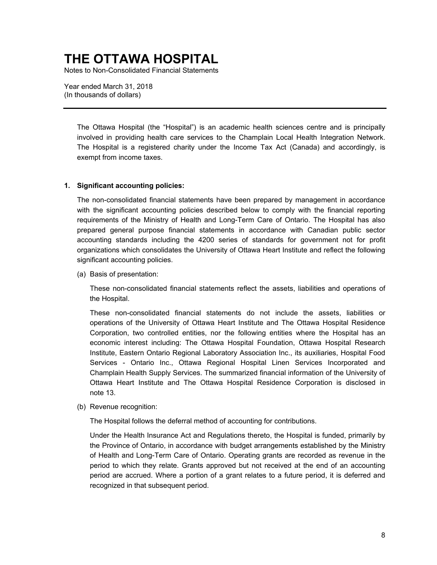Notes to Non-Consolidated Financial Statements

Year ended March 31, 2018 (In thousands of dollars)

> involved in providing health care services to the Champlain Local Health Integration Network. The Ottawa Hospital (the "Hospital") is an academic health sciences centre and is principally The Hospital is a registered charity under the Income Tax Act (Canada) and accordingly, is exempt from income taxes.

#### **1. Significant accounting policies:**

 The non-consolidated financial statements have been prepared by management in accordance with the significant accounting policies described below to comply with the financial reporting requirements of the Ministry of Health and Long-Term Care of Ontario. The Hospital has also prepared general purpose financial statements in accordance with Canadian public sector accounting standards including the 4200 series of standards for government not for profit organizations which consolidates the University of Ottawa Heart Institute and reflect the following significant accounting policies.

(a) Basis of presentation:

These non-consolidated financial statements reflect the assets, liabilities and operations of the Hospital.

 operations of the University of Ottawa Heart Institute and The Ottawa Hospital Residence Corporation, two controlled entities, nor the following entities where the Hospital has an Services - Ontario Inc., Ottawa Regional Hospital Linen Services Incorporated and These non-consolidated financial statements do not include the assets, liabilities or economic interest including: The Ottawa Hospital Foundation, Ottawa Hospital Research Institute, Eastern Ontario Regional Laboratory Association Inc., its auxiliaries, Hospital Food Champlain Health Supply Services. The summarized financial information of the University of Ottawa Heart Institute and The Ottawa Hospital Residence Corporation is disclosed in note 13.

(b) Revenue recognition:

The Hospital follows the deferral method of accounting for contributions.

 period are accrued. Where a portion of a grant relates to a future period, it is deferred and Under the Health Insurance Act and Regulations thereto, the Hospital is funded, primarily by the Province of Ontario, in accordance with budget arrangements established by the Ministry of Health and Long-Term Care of Ontario. Operating grants are recorded as revenue in the period to which they relate. Grants approved but not received at the end of an accounting recognized in that subsequent period.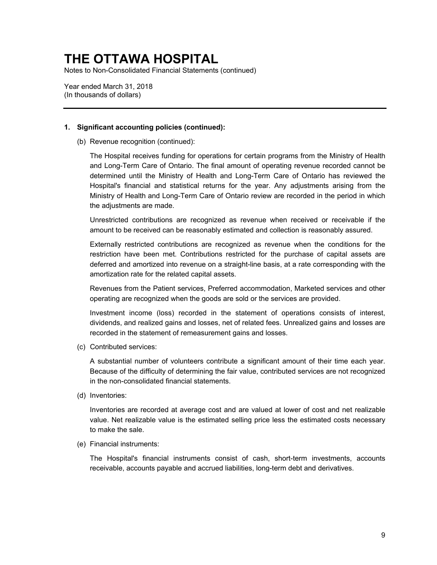Notes to Non-Consolidated Financial Statements (continued)

Year ended March 31, 2018 (In thousands of dollars)

#### **1. Significant accounting policies (continued):**

(b) Revenue recognition (continued):

 determined until the Ministry of Health and Long-Term Care of Ontario has reviewed the Hospital's financial and statistical returns for the year. Any adjustments arising from the Ministry of Health and Long-Term Care of Ontario review are recorded in the period in which The Hospital receives funding for operations for certain programs from the Ministry of Health and Long-Term Care of Ontario. The final amount of operating revenue recorded cannot be the adjustments are made.

Unrestricted contributions are recognized as revenue when received or receivable if the amount to be received can be reasonably estimated and collection is reasonably assured.

 deferred and amortized into revenue on a straight-line basis, at a rate corresponding with the Externally restricted contributions are recognized as revenue when the conditions for the restriction have been met. Contributions restricted for the purchase of capital assets are amortization rate for the related capital assets.

 Revenues from the Patient services, Preferred accommodation, Marketed services and other operating are recognized when the goods are sold or the services are provided.

 Investment income (loss) recorded in the statement of operations consists of interest, dividends, and realized gains and losses, net of related fees. Unrealized gains and losses are recorded in the statement of remeasurement gains and losses.

(c) Contributed services:

A substantial number of volunteers contribute a significant amount of their time each year. Because of the difficulty of determining the fair value, contributed services are not recognized in the non-consolidated financial statements.

(d) Inventories:

 Inventories are recorded at average cost and are valued at lower of cost and net realizable value. Net realizable value is the estimated selling price less the estimated costs necessary to make the sale.

(e) Financial instruments:

The Hospital's financial instruments consist of cash, short-term investments, accounts receivable, accounts payable and accrued liabilities, long-term debt and derivatives.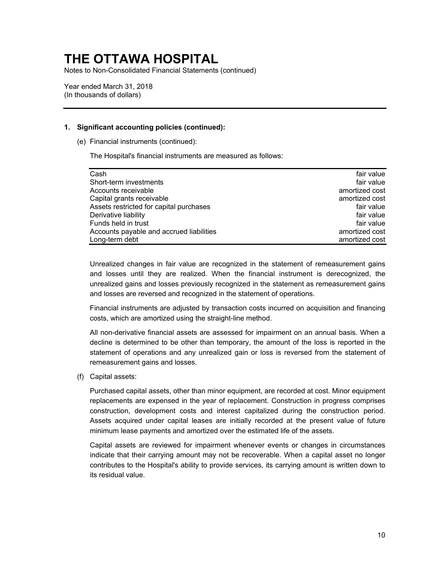Notes to Non-Consolidated Financial Statements (continued)

Year ended March 31, 2018 (In thousands of dollars)

### **1. Significant accounting policies (continued):**

(e) Financial instruments (continued):

The Hospital's financial instruments are measured as follows:

| Cash                                     | fair value     |
|------------------------------------------|----------------|
| Short-term investments                   | fair value     |
| Accounts receivable                      | amortized cost |
| Capital grants receivable                | amortized cost |
| Assets restricted for capital purchases  | fair value     |
| Derivative liability                     | fair value     |
| Funds held in trust                      | fair value     |
| Accounts payable and accrued liabilities | amortized cost |
| Long-term debt                           | amortized cost |

 Unrealized changes in fair value are recognized in the statement of remeasurement gains and losses until they are realized. When the financial instrument is derecognized, the unrealized gains and losses previously recognized in the statement as remeasurement gains and losses are reversed and recognized in the statement of operations.

 Financial instruments are adjusted by transaction costs incurred on acquisition and financing costs, which are amortized using the straight-line method.

 All non-derivative financial assets are assessed for impairment on an annual basis. When a decline is determined to be other than temporary, the amount of the loss is reported in the statement of operations and any unrealized gain or loss is reversed from the statement of remeasurement gains and losses.

(f) Capital assets:

 construction, development costs and interest capitalized during the construction period. Purchased capital assets, other than minor equipment, are recorded at cost. Minor equipment replacements are expensed in the year of replacement. Construction in progress comprises Assets acquired under capital leases are initially recorded at the present value of future minimum lease payments and amortized over the estimated life of the assets.

 contributes to the Hospital's ability to provide services, its carrying amount is written down to Capital assets are reviewed for impairment whenever events or changes in circumstances indicate that their carrying amount may not be recoverable. When a capital asset no longer its residual value.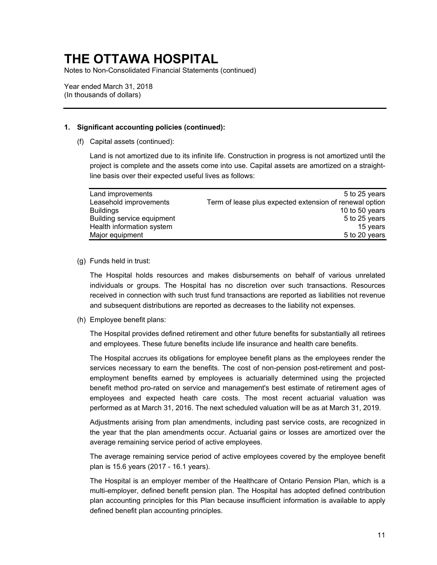Notes to Non-Consolidated Financial Statements (continued)

Year ended March 31, 2018 (In thousands of dollars)

### **1. Significant accounting policies (continued):**

(f) Capital assets (continued):

Land is not amortized due to its infinite life. Construction in progress is not amortized until the project is complete and the assets come into use. Capital assets are amortized on a straightline basis over their expected useful lives as follows:

| Land improvements          | 5 to 25 years                                           |
|----------------------------|---------------------------------------------------------|
| Leasehold improvements     | Term of lease plus expected extension of renewal option |
| <b>Buildings</b>           | 10 to 50 years                                          |
| Building service equipment | 5 to 25 years                                           |
| Health information system  | 15 years                                                |
| Major equipment            | 5 to 20 years                                           |

#### (g) Funds held in trust:

The Hospital holds resources and makes disbursements on behalf of various unrelated individuals or groups. The Hospital has no discretion over such transactions. Resources received in connection with such trust fund transactions are reported as liabilities not revenue and subsequent distributions are reported as decreases to the liability not expenses.

(h) Employee benefit plans:

The Hospital provides defined retirement and other future benefits for substantially all retirees and employees. These future benefits include life insurance and health care benefits.

 services necessary to earn the benefits. The cost of non-pension post-retirement and post-The Hospital accrues its obligations for employee benefit plans as the employees render the employment benefits earned by employees is actuarially determined using the projected benefit method pro-rated on service and management's best estimate of retirement ages of employees and expected heath care costs. The most recent actuarial valuation was performed as at March 31, 2016. The next scheduled valuation will be as at March 31, 2019.

 the year that the plan amendments occur. Actuarial gains or losses are amortized over the Adjustments arising from plan amendments, including past service costs, are recognized in average remaining service period of active employees.

The average remaining service period of active employees covered by the employee benefit plan is 15.6 years (2017 - 16.1 years).

 The Hospital is an employer member of the Healthcare of Ontario Pension Plan, which is a multi-employer, defined benefit pension plan. The Hospital has adopted defined contribution plan accounting principles for this Plan because insufficient information is available to apply defined benefit plan accounting principles.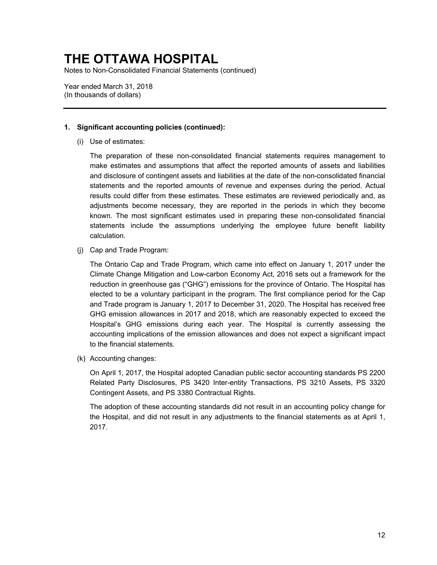Notes to Non-Consolidated Financial Statements (continued)

Year ended March 31, 2018 (In thousands of dollars)

### **1. Significant accounting policies (continued):**

(i) Use of estimates:

 make estimates and assumptions that affect the reported amounts of assets and liabilities adjustments become necessary, they are reported in the periods in which they become known. The most significant estimates used in preparing these non-consolidated financial The preparation of these non-consolidated financial statements requires management to and disclosure of contingent assets and liabilities at the date of the non-consolidated financial statements and the reported amounts of revenue and expenses during the period. Actual results could differ from these estimates. These estimates are reviewed periodically and, as statements include the assumptions underlying the employee future benefit liability calculation.

(j) Cap and Trade Program:

 reduction in greenhouse gas ("GHG") emissions for the province of Ontario. The Hospital has elected to be a voluntary participant in the program. The first compliance period for the Cap GHG emission allowances in 2017 and 2018, which are reasonably expected to exceed the accounting implications of the emission allowances and does not expect a significant impact The Ontario Cap and Trade Program, which came into effect on January 1, 2017 under the Climate Change Mitigation and Low-carbon Economy Act, 2016 sets out a framework for the and Trade program is January 1, 2017 to December 31, 2020. The Hospital has received free Hospital's GHG emissions during each year. The Hospital is currently assessing the to the financial statements.

(k) Accounting changes:

On April 1, 2017, the Hospital adopted Canadian public sector accounting standards PS 2200 Related Party Disclosures, PS 3420 Inter-entity Transactions, PS 3210 Assets, PS 3320 Contingent Assets, and PS 3380 Contractual Rights.

The adoption of these accounting standards did not result in an accounting policy change for the Hospital, and did not result in any adjustments to the financial statements as at April 1, 2017.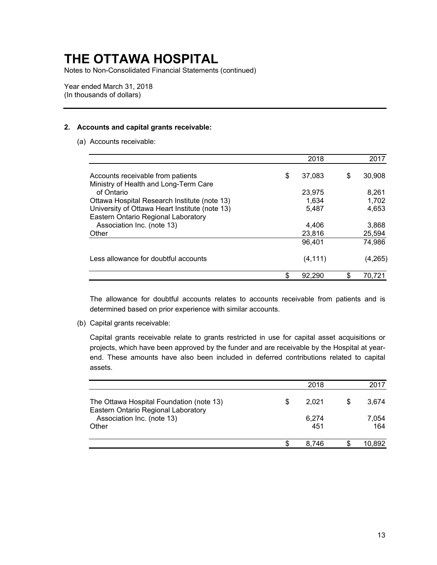Notes to Non-Consolidated Financial Statements (continued)

Year ended March 31, 2018 (In thousands of dollars)

### **2. Accounts and capital grants receivable:**

(a) Accounts receivable:

|                                                | 2018         |   | 2017    |
|------------------------------------------------|--------------|---|---------|
| Accounts receivable from patients              | \$<br>37,083 | S | 30,908  |
| Ministry of Health and Long-Term Care          |              |   |         |
| of Ontario                                     | 23,975       |   | 8.261   |
| Ottawa Hospital Research Institute (note 13)   | 1,634        |   | 1,702   |
| University of Ottawa Heart Institute (note 13) | 5,487        |   | 4,653   |
| Eastern Ontario Regional Laboratory            |              |   |         |
| Association Inc. (note 13)                     | 4,406        |   | 3,868   |
| Other                                          | 23,816       |   | 25,594  |
|                                                | 96,401       |   | 74,986  |
| Less allowance for doubtful accounts           | (4, 111)     |   | (4,265) |
|                                                | 92,290       |   | 70.721  |

The allowance for doubtful accounts relates to accounts receivable from patients and is determined based on prior experience with similar accounts.

(b) Capital grants receivable:

Capital grants receivable relate to grants restricted in use for capital asset acquisitions or projects, which have been approved by the funder and are receivable by the Hospital at yearend. These amounts have also been included in deferred contributions related to capital assets.

|                                                                                 |   | 2018         |   | 2017         |
|---------------------------------------------------------------------------------|---|--------------|---|--------------|
| The Ottawa Hospital Foundation (note 13)<br>Eastern Ontario Regional Laboratory | S | 2.021        | S | 3,674        |
| Association Inc. (note 13)<br>Other                                             |   | 6,274<br>451 |   | 7,054<br>164 |
|                                                                                 |   | 8.746        |   | 10,892       |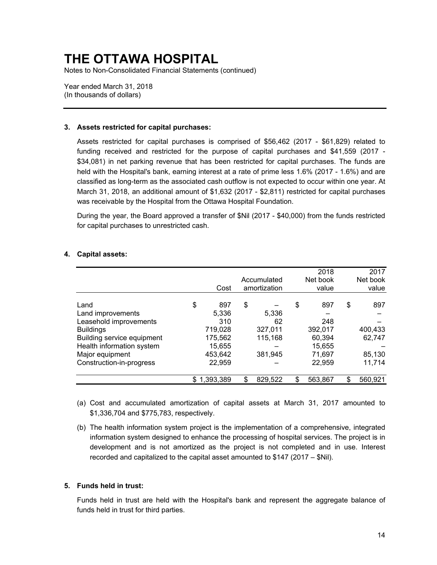Notes to Non-Consolidated Financial Statements (continued)

Year ended March 31, 2018 (In thousands of dollars)

#### **3. Assets restricted for capital purchases:**

 March 31, 2018, an additional amount of \$1,632 (2017 - \$2,811) restricted for capital purchases Assets restricted for capital purchases is comprised of \$56,462 (2017 - \$61,829) related to funding received and restricted for the purpose of capital purchases and \$41,559 (2017 - \$34,081) in net parking revenue that has been restricted for capital purchases. The funds are held with the Hospital's bank, earning interest at a rate of prime less 1.6% (2017 - 1.6%) and are classified as long-term as the associated cash outflow is not expected to occur within one year. At was receivable by the Hospital from the Ottawa Hospital Foundation.

 During the year, the Board approved a transfer of \$Nil (2017 - \$40,000) from the funds restricted for capital purchases to unrestricted cash.

|         |                           |         |                                      | 2018     |     | 2017     |
|---------|---------------------------|---------|--------------------------------------|----------|-----|----------|
|         |                           |         |                                      | Net book |     | Net book |
| Cost    |                           |         |                                      | value    |     | value    |
|         |                           |         |                                      |          |     |          |
|         |                           |         |                                      |          |     | 897      |
|         |                           |         |                                      |          |     |          |
| 310     |                           | 62      |                                      | 248      |     |          |
| 719,028 |                           | 327,011 |                                      | 392,017  |     | 400,433  |
| 175,562 |                           | 115,168 |                                      | 60,394   |     | 62,747   |
| 15,655  |                           |         |                                      | 15,655   |     |          |
| 453,642 |                           | 381,945 |                                      | 71,697   |     | 85,130   |
| 22,959  |                           |         |                                      | 22,959   |     | 11,714   |
| \$      | \$                        | 829,522 |                                      | 563,867  | \$  | 560,921  |
| \$      | 897<br>5,336<br>1,393,389 | \$      | Accumulated<br>amortization<br>5,336 | \$       | 897 | \$       |

#### **4. Capital assets:**

- (a) Cost and accumulated amortization of capital assets at March 31, 2017 amounted to \$1,336,704 and \$775,783, respectively.
- information system designed to enhance the processing of hospital services. The project is in (b) The health information system project is the implementation of a comprehensive, integrated development and is not amortized as the project is not completed and in use. Interest recorded and capitalized to the capital asset amounted to \$147 (2017 – \$Nil).

### **5. Funds held in trust:**

 Funds held in trust are held with the Hospital's bank and represent the aggregate balance of funds held in trust for third parties.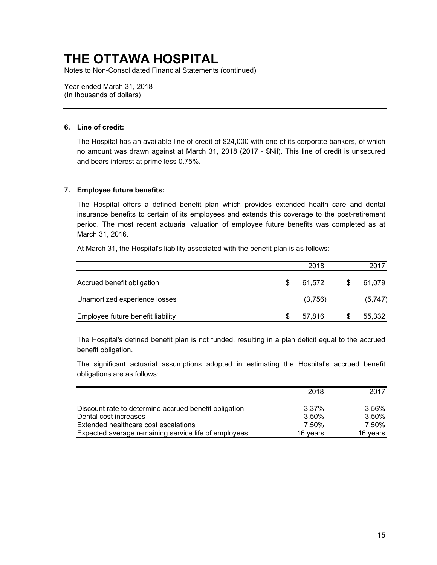Notes to Non-Consolidated Financial Statements (continued)

Year ended March 31, 2018 (In thousands of dollars)

### **6. Line of credit:**

The Hospital has an available line of credit of \$24,000 with one of its corporate bankers, of which no amount was drawn against at March 31, 2018 (2017 - \$Nil). This line of credit is unsecured and bears interest at prime less 0.75%.

### **7. Employee future benefits:**

 The Hospital offers a defined benefit plan which provides extended health care and dental insurance benefits to certain of its employees and extends this coverage to the post-retirement period. The most recent actuarial valuation of employee future benefits was completed as at March 31, 2016.

At March 31, the Hospital's liability associated with the benefit plan is as follows:

|                                   |   | 2018    |   | 2017    |
|-----------------------------------|---|---------|---|---------|
| Accrued benefit obligation        | S | 61,572  | S | 61,079  |
| Unamortized experience losses     |   | (3,756) |   | (5,747) |
| Employee future benefit liability |   | 57.816  |   | 55,332  |

 The Hospital's defined benefit plan is not funded, resulting in a plan deficit equal to the accrued benefit obligation.

The significant actuarial assumptions adopted in estimating the Hospital's accrued benefit obligations are as follows:

|                                                       | 2018     | 2017     |
|-------------------------------------------------------|----------|----------|
|                                                       |          |          |
| Discount rate to determine accrued benefit obligation | 3.37%    | 3.56%    |
| Dental cost increases                                 | 3.50%    | 3.50%    |
| Extended healthcare cost escalations                  | 7.50%    | 7.50%    |
| Expected average remaining service life of employees  | 16 years | 16 vears |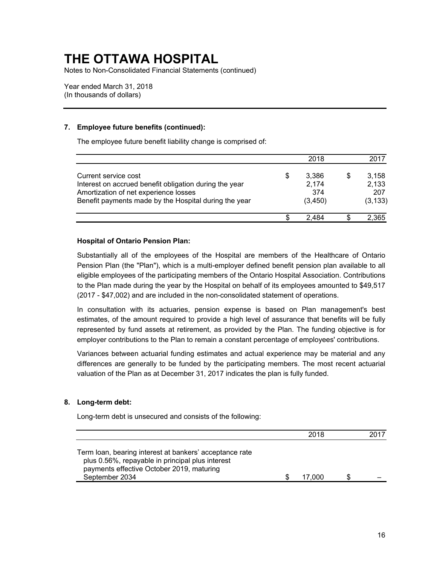Notes to Non-Consolidated Financial Statements (continued)

Year ended March 31, 2018 (In thousands of dollars)

### **7. Employee future benefits (continued):**

The employee future benefit liability change is comprised of:

|                                                        |    | 2018     | 2017     |
|--------------------------------------------------------|----|----------|----------|
| Current service cost                                   | \$ | 3,386    | 3,158    |
| Interest on accrued benefit obligation during the year |    | 2,174    | 2,133    |
| Amortization of net experience losses                  |    | 374      | 207      |
| Benefit payments made by the Hospital during the year  |    | (3, 450) | (3, 133) |
|                                                        | S  | 2 484    | 2,365    |

### **Hospital of Ontario Pension Plan:**

 Substantially all of the employees of the Hospital are members of the Healthcare of Ontario to the Plan made during the year by the Hospital on behalf of its employees amounted to \$49,517 Pension Plan (the "Plan"), which is a multi-employer defined benefit pension plan available to all eligible employees of the participating members of the Ontario Hospital Association. Contributions (2017 - \$47,002) and are included in the non-consolidated statement of operations.

 represented by fund assets at retirement, as provided by the Plan. The funding objective is for In consultation with its actuaries, pension expense is based on Plan management's best estimates, of the amount required to provide a high level of assurance that benefits will be fully employer contributions to the Plan to remain a constant percentage of employees' contributions.

Variances between actuarial funding estimates and actual experience may be material and any differences are generally to be funded by the participating members. The most recent actuarial valuation of the Plan as at December 31, 2017 indicates the plan is fully funded.

### **8. Long-term debt:**

Long-term debt is unsecured and consists of the following:

|                                                                                                                                                                            | 2018   |  |
|----------------------------------------------------------------------------------------------------------------------------------------------------------------------------|--------|--|
| Term loan, bearing interest at bankers' acceptance rate<br>plus 0.56%, repayable in principal plus interest<br>payments effective October 2019, maturing<br>September 2034 | 17.000 |  |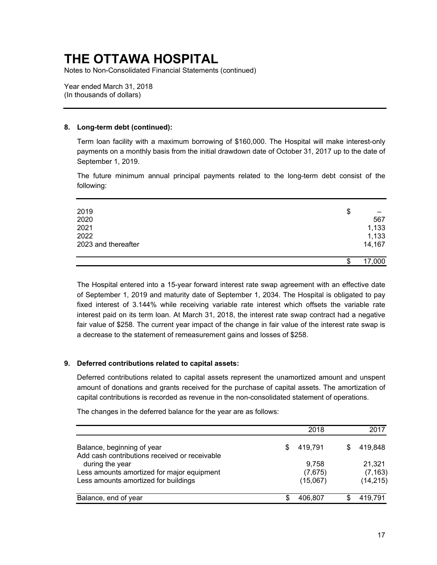Notes to Non-Consolidated Financial Statements (continued)

Year ended March 31, 2018 (In thousands of dollars)

### **8. Long-term debt (continued):**

 payments on a monthly basis from the initial drawdown date of October 31, 2017 up to the date of Term loan facility with a maximum borrowing of \$160,000. The Hospital will make interest-only September 1, 2019.

The future minimum annual principal payments related to the long-term debt consist of the following:

| 2019                | \$           |
|---------------------|--------------|
| 2020                | 567          |
| 2021                | 1,133        |
| 2022                | 1,133        |
| 2023 and thereafter | 14,167       |
|                     |              |
|                     | \$<br>17,000 |

 of September 1, 2019 and maturity date of September 1, 2034. The Hospital is obligated to pay fixed interest of 3.144% while receiving variable rate interest which offsets the variable rate fair value of \$258. The current year impact of the change in fair value of the interest rate swap is a decrease to the statement of remeasurement gains and losses of \$258. The Hospital entered into a 15-year forward interest rate swap agreement with an effective date interest paid on its term loan. At March 31, 2018, the interest rate swap contract had a negative

### **9. Deferred contributions related to capital assets:**

 Deferred contributions related to capital assets represent the unamortized amount and unspent amount of donations and grants received for the purchase of capital assets. The amortization of capital contributions is recorded as revenue in the non-consolidated statement of operations.

The changes in the deferred balance for the year are as follows:

|                                                                  |    | 2018     | 2017      |
|------------------------------------------------------------------|----|----------|-----------|
| Balance, beginning of year                                       | \$ | 419.791  | 419.848   |
| Add cash contributions received or receivable<br>during the year |    | 9.758    | 21.321    |
| Less amounts amortized for major equipment                       |    | (7,675)  | (7, 163)  |
| Less amounts amortized for buildings                             |    | (15,067) | (14, 215) |
| Balance, end of year                                             | S  | 406.807  | 419,791   |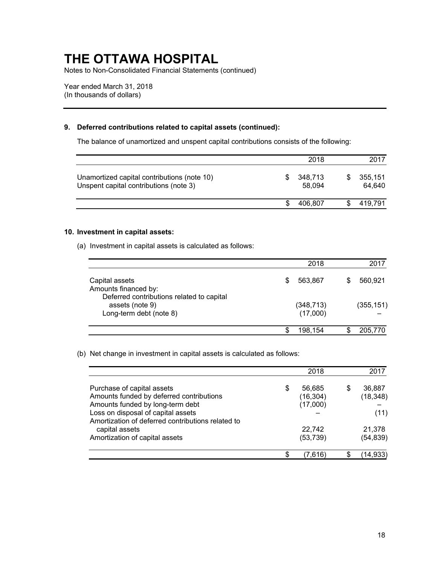Notes to Non-Consolidated Financial Statements (continued)

Year ended March 31, 2018 (In thousands of dollars)

### **9. Deferred contributions related to capital assets (continued):**

The balance of unamortized and unspent capital contributions consists of the following:

|                                                                                       | 2018              | 2017              |
|---------------------------------------------------------------------------------------|-------------------|-------------------|
| Unamortized capital contributions (note 10)<br>Unspent capital contributions (note 3) | 348,713<br>58,094 | 355,151<br>64.640 |
|                                                                                       | 406.807           | 419.791           |

### **10. Investment in capital assets:**

(a) Investment in capital assets is calculated as follows:

|                                                                                     | 2018                   | 2017       |
|-------------------------------------------------------------------------------------|------------------------|------------|
| Capital assets<br>Amounts financed by:<br>Deferred contributions related to capital | 563.867<br>S           | 560,921    |
| assets (note 9)<br>Long-term debt (note 8)                                          | (348, 713)<br>(17,000) | (355, 151) |
|                                                                                     | 198.154<br>S           | 205,770    |

(b) Net change in investment in capital assets is calculated as follows:

|                                                                                                                                                  |   | 2018                            |    | 2017                        |
|--------------------------------------------------------------------------------------------------------------------------------------------------|---|---------------------------------|----|-----------------------------|
| Purchase of capital assets<br>Amounts funded by deferred contributions<br>Amounts funded by long-term debt<br>Loss on disposal of capital assets | S | 56,685<br>(16, 304)<br>(17,000) | S  | 36,887<br>(18, 348)<br>(11) |
| Amortization of deferred contributions related to<br>capital assets<br>Amortization of capital assets                                            |   | 22,742<br>(53, 739)             |    | 21,378<br>(54, 839)         |
|                                                                                                                                                  |   | $\left( 7,616\right)$           | S. | 14,933                      |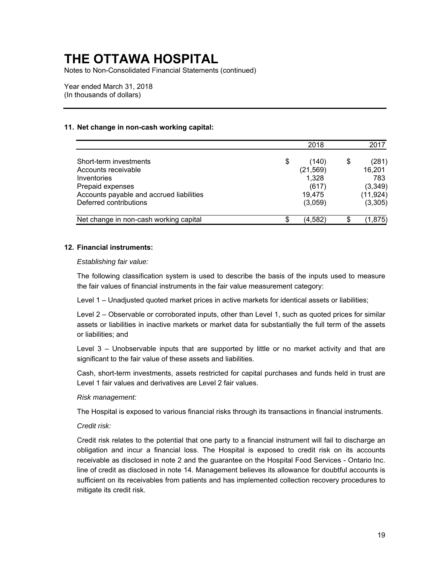Notes to Non-Consolidated Financial Statements (continued)

Year ended March 31, 2018 (In thousands of dollars)

### **11. Net change in non-cash working capital:**

|                                          |    | 2018      | 2017        |
|------------------------------------------|----|-----------|-------------|
| Short-term investments                   | \$ | (140)     | \$<br>(281) |
| Accounts receivable                      |    | (21, 569) | 16,201      |
| Inventories                              |    | 1,328     | 783         |
| Prepaid expenses                         |    | (617)     | (3,349)     |
| Accounts payable and accrued liabilities |    | 19,475    | (11, 924)   |
| Deferred contributions                   |    | (3,059)   | (3,305)     |
| Net change in non-cash working capital   | S  | (4,582)   | (1,875)     |

#### **12. Financial instruments:**

*Establishing fair value:* 

 The following classification system is used to describe the basis of the inputs used to measure the fair values of financial instruments in the fair value measurement category:

Level 1 – Unadjusted quoted market prices in active markets for identical assets or liabilities;

 Level 2 – Observable or corroborated inputs, other than Level 1, such as quoted prices for similar assets or liabilities in inactive markets or market data for substantially the full term of the assets or liabilities; and

 Level 3 – Unobservable inputs that are supported by little or no market activity and that are significant to the fair value of these assets and liabilities.

Cash, short-term investments, assets restricted for capital purchases and funds held in trust are Level 1 fair values and derivatives are Level 2 fair values.

#### *Risk management:*

The Hospital is exposed to various financial risks through its transactions in financial instruments.

#### *Credit risk:*

 receivable as disclosed in note 2 and the guarantee on the Hospital Food Services - Ontario Inc. Credit risk relates to the potential that one party to a financial instrument will fail to discharge an obligation and incur a financial loss. The Hospital is exposed to credit risk on its accounts line of credit as disclosed in note 14. Management believes its allowance for doubtful accounts is sufficient on its receivables from patients and has implemented collection recovery procedures to mitigate its credit risk.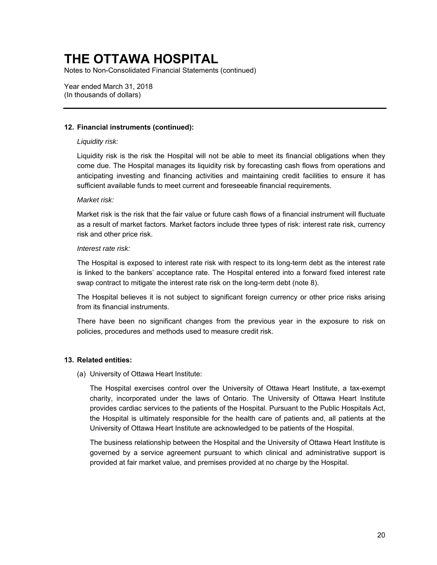Notes to Non-Consolidated Financial Statements (continued)

Year ended March 31, 2018 (In thousands of dollars)

### **12. Financial instruments (continued):**

#### *Liquidity risk:*

 come due. The Hospital manages its liquidity risk by forecasting cash flows from operations and Liquidity risk is the risk the Hospital will not be able to meet its financial obligations when they anticipating investing and financing activities and maintaining credit facilities to ensure it has sufficient available funds to meet current and foreseeable financial requirements.

#### *Market risk:*

 Market risk is the risk that the fair value or future cash flows of a financial instrument will fluctuate as a result of market factors. Market factors include three types of risk: interest rate risk, currency risk and other price risk.

#### *Interest rate risk:*

The Hospital is exposed to interest rate risk with respect to its long-term debt as the interest rate is linked to the bankers' acceptance rate. The Hospital entered into a forward fixed interest rate swap contract to mitigate the interest rate risk on the long-term debt (note 8).

 The Hospital believes it is not subject to significant foreign currency or other price risks arising from its financial instruments.

 There have been no significant changes from the previous year in the exposure to risk on policies, procedures and methods used to measure credit risk.

### **13. Related entities:**

(a) University of Ottawa Heart Institute:

 charity, incorporated under the laws of Ontario. The University of Ottawa Heart Institute provides cardiac services to the patients of the Hospital. Pursuant to the Public Hospitals Act, The Hospital exercises control over the University of Ottawa Heart Institute, a tax-exempt the Hospital is ultimately responsible for the health care of patients and, all patients at the University of Ottawa Heart Institute are acknowledged to be patients of the Hospital.

 governed by a service agreement pursuant to which clinical and administrative support is The business relationship between the Hospital and the University of Ottawa Heart Institute is provided at fair market value, and premises provided at no charge by the Hospital.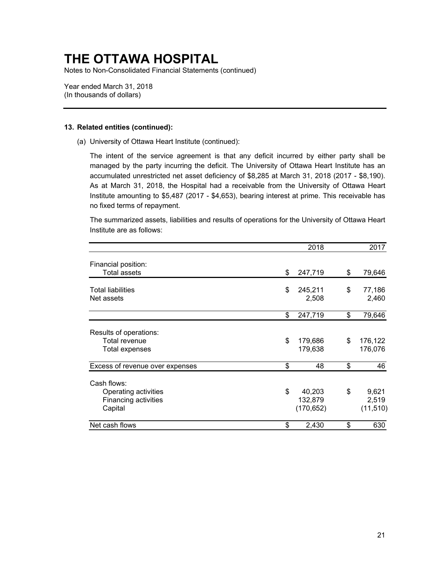Notes to Non-Consolidated Financial Statements (continued)

Year ended March 31, 2018 (In thousands of dollars)

#### **13. Related entities (continued):**

(a) University of Ottawa Heart Institute (continued):

 Institute amounting to \$5,487 (2017 - \$4,653), bearing interest at prime. This receivable has The intent of the service agreement is that any deficit incurred by either party shall be managed by the party incurring the deficit. The University of Ottawa Heart Institute has an accumulated unrestricted net asset deficiency of \$8,285 at March 31, 2018 (2017 - \$8,190). As at March 31, 2018, the Hospital had a receivable from the University of Ottawa Heart no fixed terms of repayment.

The summarized assets, liabilities and results of operations for the University of Ottawa Heart Institute are as follows:

|                                                                               | 2018                                  | 2017                              |
|-------------------------------------------------------------------------------|---------------------------------------|-----------------------------------|
| Financial position:<br><b>Total assets</b>                                    | \$<br>247,719                         | \$<br>79,646                      |
| <b>Total liabilities</b><br>Net assets                                        | \$<br>245,211<br>2,508                | \$<br>77,186<br>2,460             |
|                                                                               | \$<br>247,719                         | \$<br>79,646                      |
| Results of operations:<br><b>Total revenue</b><br>Total expenses              | \$<br>179,686<br>179,638              | \$<br>176,122<br>176,076          |
| Excess of revenue over expenses                                               | \$<br>48                              | \$<br>46                          |
| Cash flows:<br>Operating activities<br><b>Financing activities</b><br>Capital | \$<br>40,203<br>132,879<br>(170, 652) | \$<br>9,621<br>2,519<br>(11, 510) |
| Net cash flows                                                                | \$<br>2,430                           | \$<br>630                         |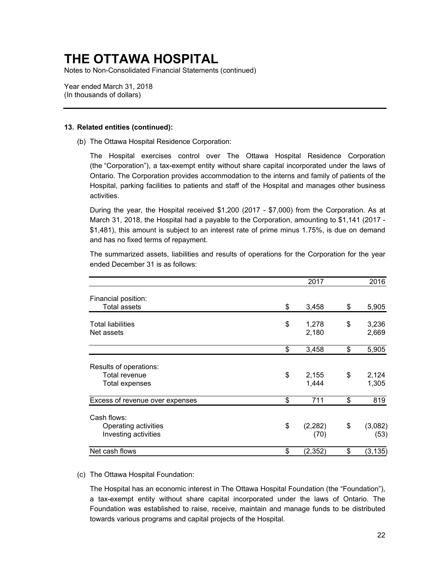Notes to Non-Consolidated Financial Statements (continued)

Year ended March 31, 2018 (In thousands of dollars)

#### **13. Related entities (continued):**

(b) The Ottawa Hospital Residence Corporation:

 The Hospital exercises control over The Ottawa Hospital Residence Corporation (the "Corporation"), a tax-exempt entity without share capital incorporated under the laws of Ontario. The Corporation provides accommodation to the interns and family of patients of the Hospital, parking facilities to patients and staff of the Hospital and manages other business activities.

 March 31, 2018, the Hospital had a payable to the Corporation, amounting to \$1,141 (2017 - During the year, the Hospital received \$1,200 (2017 - \$7,000) from the Corporation. As at \$1,481), this amount is subject to an interest rate of prime minus 1.75%, is due on demand and has no fixed terms of repayment.

|                                                                  | 2017                   | 2016                  |
|------------------------------------------------------------------|------------------------|-----------------------|
| Financial position:<br><b>Total assets</b>                       | \$<br>3,458            | \$<br>5,905           |
| <b>Total liabilities</b><br>Net assets                           | \$<br>1,278<br>2,180   | \$<br>3,236<br>2,669  |
|                                                                  | \$<br>3,458            | \$<br>5,905           |
| Results of operations:<br>Total revenue<br><b>Total expenses</b> | \$<br>2,155<br>1,444   | \$<br>2,124<br>1,305  |
| Excess of revenue over expenses                                  | \$<br>711              | \$<br>819             |
| Cash flows:<br>Operating activities<br>Investing activities      | \$<br>(2, 282)<br>(70) | \$<br>(3,082)<br>(53) |
| Net cash flows                                                   | \$<br>(2, 352)         | \$<br>(3, 135)        |

The summarized assets, liabilities and results of operations for the Corporation for the year ended December 31 is as follows:

#### (c) The Ottawa Hospital Foundation:

The Hospital has an economic interest in The Ottawa Hospital Foundation (the "Foundation"), a tax-exempt entity without share capital incorporated under the laws of Ontario. The Foundation was established to raise, receive, maintain and manage funds to be distributed towards various programs and capital projects of the Hospital.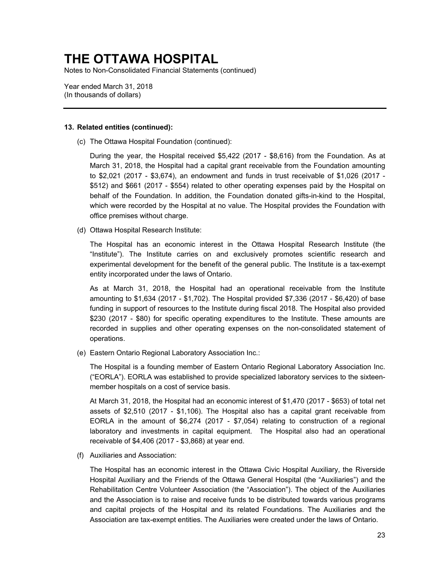Notes to Non-Consolidated Financial Statements (continued)

Year ended March 31, 2018 (In thousands of dollars)

#### **13. Related entities (continued):**

(c) The Ottawa Hospital Foundation (continued):

 During the year, the Hospital received \$5,422 (2017 - \$8,616) from the Foundation. As at to \$2,021 (2017 - \$3,674), an endowment and funds in trust receivable of \$1,026 (2017 - \$512) and \$661 (2017 - \$554) related to other operating expenses paid by the Hospital on March 31, 2018, the Hospital had a capital grant receivable from the Foundation amounting behalf of the Foundation. In addition, the Foundation donated gifts-in-kind to the Hospital, which were recorded by the Hospital at no value. The Hospital provides the Foundation with office premises without charge.

(d) Ottawa Hospital Research Institute:

 The Hospital has an economic interest in the Ottawa Hospital Research Institute (the experimental development for the benefit of the general public. The Institute is a tax-exempt "Institute"). The Institute carries on and exclusively promotes scientific research and entity incorporated under the laws of Ontario.

 As at March 31, 2018, the Hospital had an operational receivable from the Institute \$230 (2017 - \$80) for specific operating expenditures to the Institute. These amounts are amounting to \$1,634 (2017 - \$1,702). The Hospital provided \$7,336 (2017 - \$6,420) of base funding in support of resources to the Institute during fiscal 2018. The Hospital also provided recorded in supplies and other operating expenses on the non-consolidated statement of operations.

(e) Eastern Ontario Regional Laboratory Association Inc.:

 ("EORLA"). EORLA was established to provide specialized laboratory services to the sixteen- member hospitals on a cost of service basis. The Hospital is a founding member of Eastern Ontario Regional Laboratory Association Inc.

 At March 31, 2018, the Hospital had an economic interest of \$1,470 (2017 - \$653) of total net EORLA in the amount of \$6,274 (2017 - \$7,054) relating to construction of a regional assets of \$2,510 (2017 - \$1,106). The Hospital also has a capital grant receivable from laboratory and investments in capital equipment. The Hospital also had an operational receivable of \$4,406 (2017 - \$3,868) at year end.

(f) Auxiliaries and Association:

 and capital projects of the Hospital and its related Foundations. The Auxiliaries and the The Hospital has an economic interest in the Ottawa Civic Hospital Auxiliary, the Riverside Hospital Auxiliary and the Friends of the Ottawa General Hospital (the "Auxiliaries") and the Rehabilitation Centre Volunteer Association (the "Association"). The object of the Auxiliaries and the Association is to raise and receive funds to be distributed towards various programs Association are tax-exempt entities. The Auxiliaries were created under the laws of Ontario.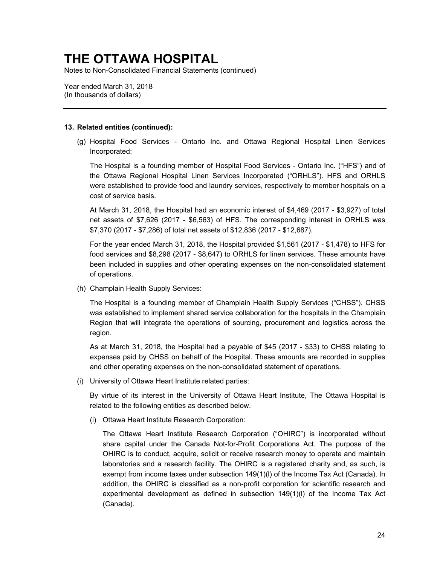Notes to Non-Consolidated Financial Statements (continued)

Year ended March 31, 2018 (In thousands of dollars)

#### **13. Related entities (continued):**

 (g) Hospital Food Services - Ontario Inc. and Ottawa Regional Hospital Linen Services Incorporated:

 The Hospital is a founding member of Hospital Food Services - Ontario Inc. ("HFS") and of the Ottawa Regional Hospital Linen Services Incorporated ("ORHLS"). HFS and ORHLS were established to provide food and laundry services, respectively to member hospitals on a cost of service basis.

 At March 31, 2018, the Hospital had an economic interest of \$4,469 (2017 - \$3,927) of total net assets of \$7,626 (2017 - \$6,563) of HFS. The corresponding interest in ORHLS was \$7,370 (2017 - \$7,286) of total net assets of \$12,836 (2017 - \$12,687).

For the year ended March 31, 2018, the Hospital provided \$1,561 (2017 - \$1,478) to HFS for food services and \$8,298 (2017 - \$8,647) to ORHLS for linen services. These amounts have been included in supplies and other operating expenses on the non-consolidated statement of operations.

(h) Champlain Health Supply Services:

 The Hospital is a founding member of Champlain Health Supply Services ("CHSS"). CHSS was established to implement shared service collaboration for the hospitals in the Champlain Region that will integrate the operations of sourcing, procurement and logistics across the region.

 As at March 31, 2018, the Hospital had a payable of \$45 (2017 - \$33) to CHSS relating to expenses paid by CHSS on behalf of the Hospital. These amounts are recorded in supplies and other operating expenses on the non-consolidated statement of operations.

(i) University of Ottawa Heart Institute related parties:

By virtue of its interest in the University of Ottawa Heart Institute, The Ottawa Hospital is related to the following entities as described below.

(i) Ottawa Heart Institute Research Corporation:

 The Ottawa Heart Institute Research Corporation ("OHIRC") is incorporated without OHIRC is to conduct, acquire, solicit or receive research money to operate and maintain laboratories and a research facility. The OHIRC is a registered charity and, as such, is experimental development as defined in subsection 149(1)(l) of the Income Tax Act share capital under the Canada Not-for-Profit Corporations Act. The purpose of the exempt from income taxes under subsection 149(1)(l) of the Income Tax Act (Canada). In addition, the OHIRC is classified as a non-profit corporation for scientific research and (Canada).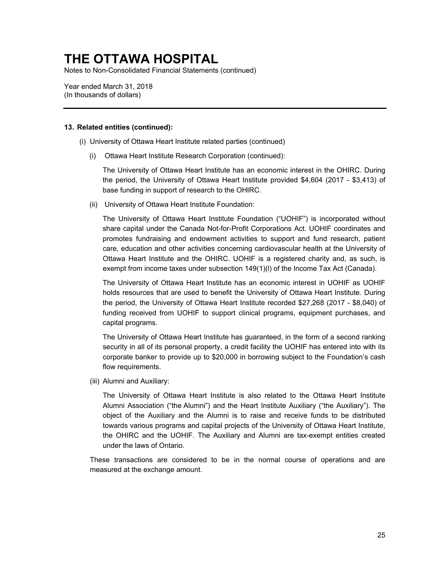Notes to Non-Consolidated Financial Statements (continued)

Year ended March 31, 2018 (In thousands of dollars)

#### **13. Related entities (continued):**

- (i) University of Ottawa Heart Institute related parties (continued)
	- (i) Ottawa Heart Institute Research Corporation (continued):

The University of Ottawa Heart Institute has an economic interest in the OHIRC. During the period, the University of Ottawa Heart Institute provided \$4,604 (2017 - \$3,413) of base funding in support of research to the OHIRC.

(ii) University of Ottawa Heart Institute Foundation:

 The University of Ottawa Heart Institute Foundation ("UOHIF") is incorporated without share capital under the Canada Not-for-Profit Corporations Act. UOHIF coordinates and promotes fundraising and endowment activities to support and fund research, patient care, education and other activities concerning cardiovascular health at the University of Ottawa Heart Institute and the OHIRC. UOHIF is a registered charity and, as such, is exempt from income taxes under subsection 149(1)(l) of the Income Tax Act (Canada).

 The University of Ottawa Heart Institute has an economic interest in UOHIF as UOHIF holds resources that are used to benefit the University of Ottawa Heart Institute. During the period, the University of Ottawa Heart Institute recorded \$27,268 (2017 - \$8,040) of funding received from UOHIF to support clinical programs, equipment purchases, and capital programs.

 The University of Ottawa Heart Institute has guaranteed, in the form of a second ranking security in all of its personal property, a credit facility the UOHIF has entered into with its corporate banker to provide up to \$20,000 in borrowing subject to the Foundation's cash flow requirements.

(iii) Alumni and Auxiliary:

 object of the Auxiliary and the Alumni is to raise and receive funds to be distributed The University of Ottawa Heart Institute is also related to the Ottawa Heart Institute Alumni Association ("the Alumni") and the Heart Institute Auxiliary ("the Auxiliary"). The towards various programs and capital projects of the University of Ottawa Heart Institute, the OHIRC and the UOHIF. The Auxiliary and Alumni are tax-exempt entities created under the laws of Ontario.

 These transactions are considered to be in the normal course of operations and are measured at the exchange amount.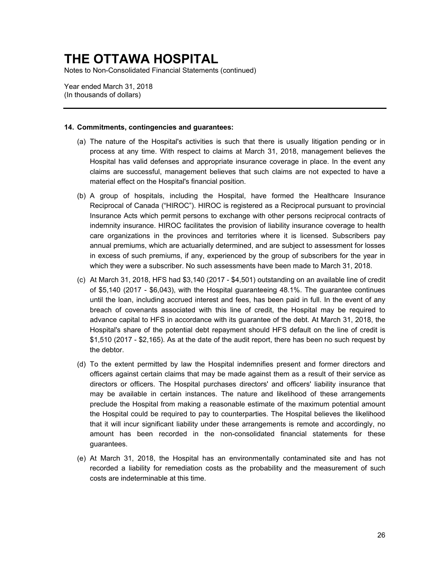Notes to Non-Consolidated Financial Statements (continued)

Year ended March 31, 2018 (In thousands of dollars)

#### **14. Commitments, contingencies and guarantees:**

- (a) The nature of the Hospital's activities is such that there is usually litigation pending or in process at any time. With respect to claims at March 31, 2018, management believes the Hospital has valid defenses and appropriate insurance coverage in place. In the event any claims are successful, management believes that such claims are not expected to have a material effect on the Hospital's financial position.
- indemnity insurance. HIROC facilitates the provision of liability insurance coverage to health (b) A group of hospitals, including the Hospital, have formed the Healthcare Insurance Reciprocal of Canada ("HIROC"). HIROC is registered as a Reciprocal pursuant to provincial Insurance Acts which permit persons to exchange with other persons reciprocal contracts of care organizations in the provinces and territories where it is licensed. Subscribers pay annual premiums, which are actuarially determined, and are subject to assessment for losses in excess of such premiums, if any, experienced by the group of subscribers for the year in which they were a subscriber. No such assessments have been made to March 31, 2018.
- breach of covenants associated with this line of credit, the Hospital may be required to (c) At March 31, 2018, HFS had \$3,140 (2017 - \$4,501) outstanding on an available line of credit of \$5,140 (2017 - \$6,043), with the Hospital guaranteeing 48.1%. The guarantee continues until the loan, including accrued interest and fees, has been paid in full. In the event of any advance capital to HFS in accordance with its guarantee of the debt. At March 31, 2018, the Hospital's share of the potential debt repayment should HFS default on the line of credit is \$1,510 (2017 - \$2,165). As at the date of the audit report, there has been no such request by the debtor.
- officers against certain claims that may be made against them as a result of their service as preclude the Hospital from making a reasonable estimate of the maximum potential amount amount has been recorded in the non-consolidated financial statements for these (d) To the extent permitted by law the Hospital indemnifies present and former directors and directors or officers. The Hospital purchases directors' and officers' liability insurance that may be available in certain instances. The nature and likelihood of these arrangements the Hospital could be required to pay to counterparties. The Hospital believes the likelihood that it will incur significant liability under these arrangements is remote and accordingly, no guarantees.
- recorded a liability for remediation costs as the probability and the measurement of such (e) At March 31, 2018, the Hospital has an environmentally contaminated site and has not costs are indeterminable at this time.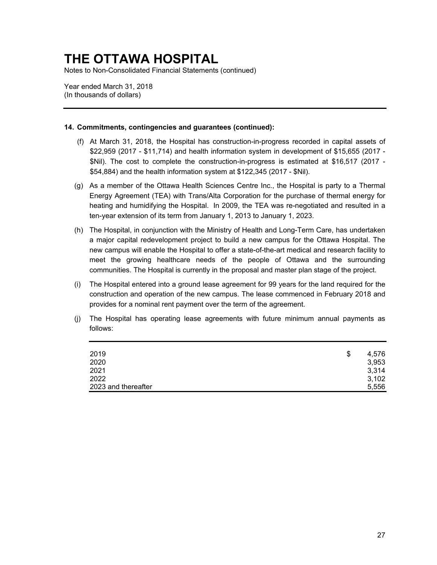Notes to Non-Consolidated Financial Statements (continued)

Year ended March 31, 2018 (In thousands of dollars)

### **14. Commitments, contingencies and guarantees (continued):**

- (f) At March 31, 2018, the Hospital has construction-in-progress recorded in capital assets of \$22,959 (2017 - \$11,714) and health information system in development of \$15,655 (2017 - \$Nil). The cost to complete the construction-in-progress is estimated at \$16,517 (2017 - \$54,884) and the health information system at \$122,345 (2017 - \$Nil).
- Energy Agreement (TEA) with Trans/Alta Corporation for the purchase of thermal energy for (g) As a member of the Ottawa Health Sciences Centre Inc., the Hospital is party to a Thermal heating and humidifying the Hospital. In 2009, the TEA was re-negotiated and resulted in a ten-year extension of its term from January 1, 2013 to January 1, 2023.
- a major capital redevelopment project to build a new campus for the Ottawa Hospital. The (h) The Hospital, in conjunction with the Ministry of Health and Long-Term Care, has undertaken new campus will enable the Hospital to offer a state-of-the-art medical and research facility to meet the growing healthcare needs of the people of Ottawa and the surrounding communities. The Hospital is currently in the proposal and master plan stage of the project.
- (i) The Hospital entered into a ground lease agreement for 99 years for the land required for the construction and operation of the new campus. The lease commenced in February 2018 and provides for a nominal rent payment over the term of the agreement.
- (j) The Hospital has operating lease agreements with future minimum annual payments as follows:

| 2019                | \$<br>4,576 |
|---------------------|-------------|
| 2020                | 3,953       |
| 2021                | 3,314       |
| 2022                | 3,102       |
| 2023 and thereafter | 5,556       |
|                     |             |